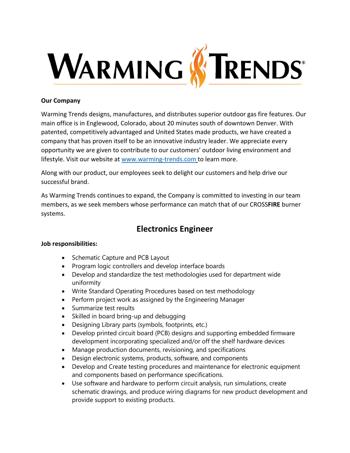

## **Our Company**

Warming Trends designs, manufactures, and distributes superior outdoor gas fire features. Our main office is in Englewood, Colorado, about 20 minutes south of downtown Denver. With patented, competitively advantaged and United States made products, we have created a company that has proven itself to be an innovative industry leader. We appreciate every opportunity we are given to contribute to our customers' outdoor living environment and lifestyle. Visit our website at [www.warming-trends.com](http://www.warming-trends.com/) to learn more.

Along with our product, our employees seek to delight our customers and help drive our successful brand.

As Warming Trends continues to expand, the Company is committed to investing in our team members, as we seek members whose performance can match that of our CROSS**FIRE** burner systems.

# **Electronics Engineer**

### **Job responsibilities:**

- Schematic Capture and PCB Layout
- Program logic controllers and develop interface boards
- Develop and standardize the test methodologies used for department wide uniformity
- Write Standard Operating Procedures based on test methodology
- Perform project work as assigned by the Engineering Manager
- Summarize test results
- Skilled in board bring-up and debugging
- Designing Library parts (symbols, footprints, etc.)
- Develop printed circuit board (PCB) designs and supporting embedded firmware development incorporating specialized and/or off the shelf hardware devices
- Manage production documents, revisioning, and specifications
- Design electronic systems, products, software, and components
- Develop and Create testing procedures and maintenance for electronic equipment and components based on performance specifications.
- Use software and hardware to perform circuit analysis, run simulations, create schematic drawings, and produce wiring diagrams for new product development and provide support to existing products.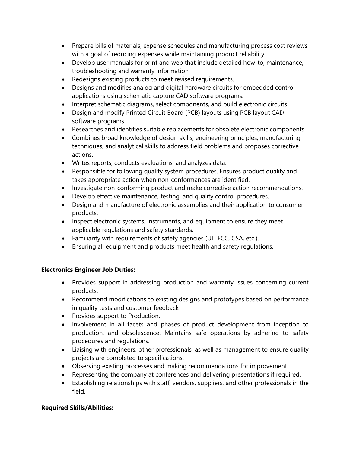- Prepare bills of materials, expense schedules and manufacturing process cost reviews with a goal of reducing expenses while maintaining product reliability
- Develop user manuals for print and web that include detailed how-to, maintenance, troubleshooting and warranty information
- Redesigns existing products to meet revised requirements.
- Designs and modifies analog and digital hardware circuits for embedded control applications using schematic capture CAD software programs.
- Interpret schematic diagrams, select components, and build electronic circuits
- Design and modify Printed Circuit Board (PCB) layouts using PCB layout CAD software programs.
- Researches and identifies suitable replacements for obsolete electronic components.
- Combines broad knowledge of design skills, engineering principles, manufacturing techniques, and analytical skills to address field problems and proposes corrective actions.
- Writes reports, conducts evaluations, and analyzes data.
- Responsible for following quality system procedures. Ensures product quality and takes appropriate action when non-conformances are identified.
- Investigate non-conforming product and make corrective action recommendations.
- Develop effective maintenance, testing, and quality control procedures.
- Design and manufacture of electronic assemblies and their application to consumer products.
- Inspect electronic systems, instruments, and equipment to ensure they meet applicable regulations and safety standards.
- Familiarity with requirements of safety agencies (UL, FCC, CSA, etc.).
- Ensuring all equipment and products meet health and safety regulations.

## **Electronics Engineer Job Duties:**

- Provides support in addressing production and warranty issues concerning current products.
- Recommend modifications to existing designs and prototypes based on performance in quality tests and customer feedback
- Provides support to Production.
- Involvement in all facets and phases of product development from inception to production, and obsolescence. Maintains safe operations by adhering to safety procedures and regulations.
- Liaising with engineers, other professionals, as well as management to ensure quality projects are completed to specifications.
- Observing existing processes and making recommendations for improvement.
- Representing the company at conferences and delivering presentations if required.
- Establishing relationships with staff, vendors, suppliers, and other professionals in the field.

## **Required Skills/Abilities:**